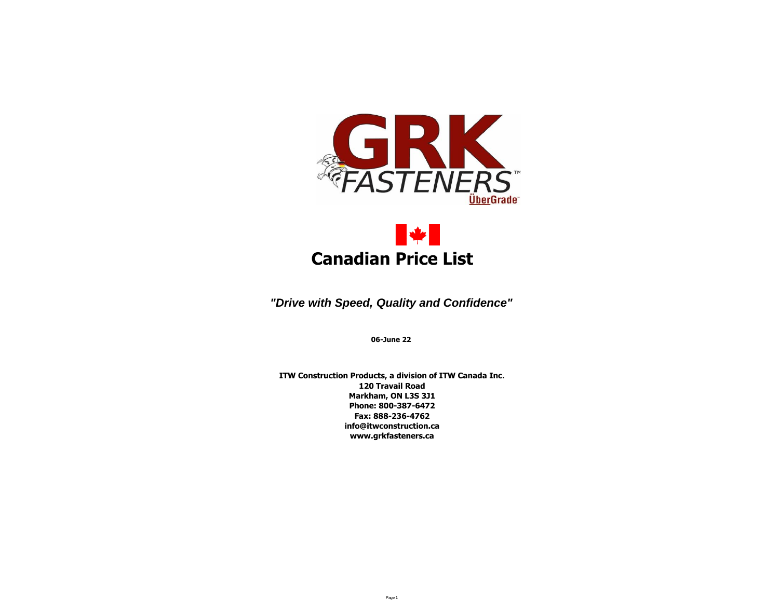



*"Drive with Speed, Quality and Confidence"*

**06-June 22**

**ITW Construction Products, a division of ITW Canada Inc. 120 Travail Road Markham, ON L3S 3J1 Phone: 800-387-6472 Fax: 888-236-4762 info@itwconstruction.ca www.grkfasteners.ca**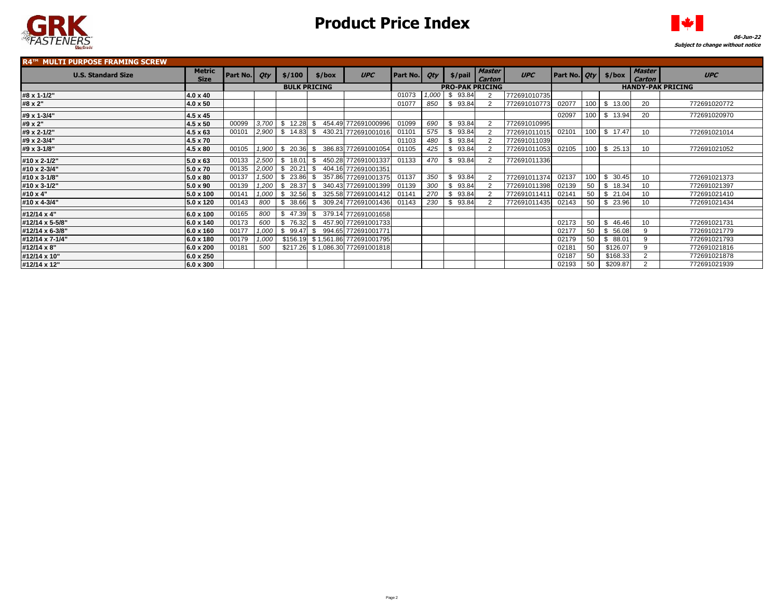



#### **R4™ MULTI PURPOSE FRAMING SCREW U.S. Standard Size Metric Metric Size Part No. Qty \$/100 \$/box UPC Part No. Qty \$/pail Master Figure 1** Carton<br>PRO-PAK PRICING  $UPC$  **Part No.**  $Qty$  \$/box  $M\substack{Master}$ **Carton UPC #8 x 1-1/2" 4.0 x 40** 01073 *1,000* \$ 93.84 2 772691010735 **#8 x 2" 4.0 x 50** 01077 *850* \$ 93.84 2 772691010773 02077 100 \$ 13.00 20 772691020772 **#9 x 1-3/4" 4.5 x 45** 02097 100 \$ 13.94 20 772691020970 **#9 x 2" 4.5 x 50** 00099 *3,700* \$ 12.28 \$ 454.49 772691000996 01099 *690* \$ 93.84 2 772691010995 **#9 x 2-1/2" 4.5 x 63** 00101 *2,900* \$ 14.83 \$ 430.21 772691001016 01101 *575* \$ 93.84 2 772691011015 02101 100 \$ 17.47 10 772691021014 **#9 x 2-3/4" 4.5 x 70** 01103 *480* \$ 93.84 2 772691011039 **#9 x 3-1/8" 4.5 x 80** 00105 *1,900* \$ 20.36 \$ 386.83 772691001054 01105 *425* \$ 93.84 2 772691011053 02105 100 \$ 25.13 10 772691021052 **#10 x 2-1/2" 5.0 x 63** 00133 *2,500* \$ 18.01 \$ 450.28 772691001337 01133 *470* \$ 93.84 2 772691011336 **#10 x 2-3/4" 5.0 x 70** 00135 *2,000* \$ 20.21 \$ 404.16 772691001351 **#10 x 3-1/8" 5.0 x 80** 00137 *1,500* \$ 23.86 \$ 357.86 772691001375 01137 *350* \$ 93.84 2 772691011374 02137 100 \$ 30.45 10 772691021373 **#10 x 3-1/2" 5.0 x 90** 00139 *1,200* \$ 28.37 \$ 340.43 772691001399 01139 *300* \$ 93.84 2 772691011398 02139 50 \$ 18.34 10 772691021397 **#10 x 4" 5.0 x 100** 00141 *1,000* \$ 32.56 \$ 325.58 772691001412 01141 *270* \$ 93.84 2 772691011411 02141 50 \$ 21.04 10 772691021410 **#10 x 4-3/4" 5.0 x 120** 00143 *800* \$ 38.66 \$ 309.24 772691001436 01143 *230* \$ 93.84 2 772691011435 02143 50 \$ 23.96 10 772691021434 **#12/14 x 4" 6.0 x 100** 00165 *800* \$ 47.39 \$ 379.14 772691001658 **#12/14 x 5-5/8" 6.0 x 140** 00173 *600* \$ 76.32 \$ 457.90 772691001733 02173 50 \$ 46.46 10 772691021731 **#12/14 x 6-3/8" 6.0 x 160** 00177 *1,000* \$ 99.47 \$ 994.65 772691001771 02177 50 \$ 56.08 9 772691021779 **#12/14 x 7-1/4" 6.0 x 180** 00179 *1,000* \$156.19 \$ 1,561.86 772691001795 02179 50 \$ 88.01 9 772691021793 **#12/14 x 8" 6.0 x 200** 00181 *500* \$217.26 \$ 1,086.30 772691001818 02181 50 \$126.07 9 772691021816 **#12/14 x 10" 6.0 x 250** 02187 50 \$168.33 2 772691021878 **#12/14 x 12" 6.0 x 300** 02193 50 \$209.87 2 772691021939 **BULK PRICING PRO-PAK PRICING HANDY-PAK PRICING**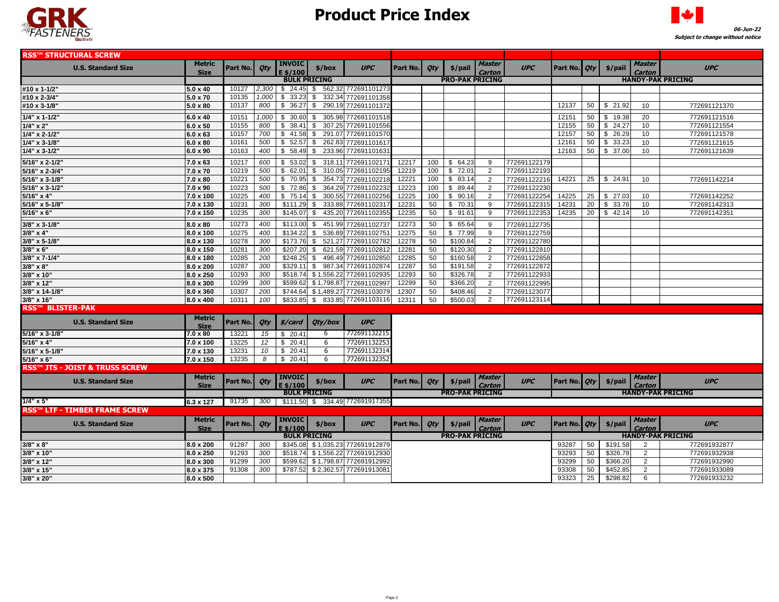



| <b>RSS™ STRUCTURAL SCREW</b>         |                       |          |       |                                                  |                     |                                  |          |     |                        |                         |              |                |                          |          |                                |                          |
|--------------------------------------|-----------------------|----------|-------|--------------------------------------------------|---------------------|----------------------------------|----------|-----|------------------------|-------------------------|--------------|----------------|--------------------------|----------|--------------------------------|--------------------------|
| <b>U.S. Standard Size</b>            | Metric<br><b>Size</b> | Part No. | Qty   | <b>INVOIC</b><br>E \$/100<br><b>BULK PRICING</b> | \$/box              | <b>UPC</b>                       | Part No. | Qty | $$/$ pail              | Master<br>Carton        | <b>UPC</b>   | Part No.   Qty |                          | \$/pail  | Master<br>Carton               | <b>UPC</b>               |
|                                      |                       |          |       |                                                  |                     | <b>PRO-PAK PRICING</b>           |          |     |                        |                         |              |                | <b>HANDY-PAK PRICING</b> |          |                                |                          |
| #10 x 1-1/2"                         | $5.0 \times 40$       | 10127    | 2,300 |                                                  |                     | \$ 24.45 \$ 562.32 772691101273  |          |     |                        |                         |              |                |                          |          |                                |                          |
| #10 x 2-3/4"                         | 5.0 x 70              | 10135    | 1,000 | \$33.23                                          | 332.34<br>\$        | 772691101358                     |          |     |                        |                         |              |                |                          |          |                                |                          |
| #10 x 3-1/8"                         | $5.0 \times 80$       | 10137    | 800   |                                                  |                     | \$ 36.27 \$ 290.19 772691101372  |          |     |                        |                         |              | 12137          | 50                       | \$21.92  | 10                             | 772691121370             |
| $1/4$ " x 1-1/2"                     | $6.0 \times 40$       | 10151    | 1,000 | \$30.60                                          | 305.98<br>\$        | 77269110151                      |          |     |                        |                         |              | 12151          | 50                       | \$19.38  | 20                             | 772691121516             |
| $1/4" \times 2"$                     | $6.0 \times 50$       | 10155    | 800   |                                                  | 307.25              | 772691101556                     |          |     |                        |                         |              | 12155          | 50                       | \$24.27  | 10                             | 772691121554             |
| $1/4$ " x 2-1/2"                     | $6.0 \times 63$       | 10157    | 700   | \$41.58                                          | 291.07<br>\$        | 77269110157                      |          |     |                        |                         |              | 12157          | 50                       | \$26.29  | 10                             | 772691121578             |
| 1/4" x 3-1/8"                        | $6.0 \times 80$       | 10161    | 500   | $$52.57$ \;                                      | 262.83              | 772691101617                     |          |     |                        |                         |              | 12161          | 50                       | \$33.23  | 10                             | 772691121615             |
| $1/4$ " x 3-1/2"                     | $6.0 \times 90$       | 10163    | 400   | \$58.49                                          | \$                  | 233.96 77269110163               |          |     |                        |                         |              | 12163          | 50                       | \$37.00  | 10                             | 772691121639             |
|                                      |                       |          |       |                                                  |                     |                                  |          |     |                        |                         |              |                |                          |          |                                |                          |
| 5/16" x 2-1/2"                       | $7.0 \times 63$       | 10217    | 600   | \$53.02                                          | - \$                | 318.11 772691102171              | 12217    | 100 | \$64.23                | 9                       | 772691122179 |                |                          |          |                                |                          |
| 5/16" x 2-3/4"                       | 7.0 x 70              | 10219    | 500   | \$62.01                                          | \$                  | 310.05 772691102195              | 12219    | 100 | \$72.01                | 2                       | 772691122193 |                |                          |          |                                |                          |
| 5/16" x 3-1/8"                       | $7.0 \times 80$       | 10221    | 500   | \$70.95                                          | \$                  | 354.73 772691102218              | 12221    | 100 | \$83.14                | 2                       | 772691122216 | 14221          | 25                       | \$24.91  | 10                             | 772691142214             |
| 5/16" x 3-1/2"                       | 7.0 x 90              | 10223    | 500   | \$72.86                                          | \$                  | 364.29 77269110223               | 12223    | 100 | \$89.44                | 2                       | 77269112223  |                |                          |          |                                |                          |
| 5/16" x 4"                           | 7.0 x 100             | 10225    | 400   | $$75.14$ \\$                                     |                     | 300.55 772691102256              | 12225    | 100 | \$90.16                | 2                       | 772691122254 | 14225          | 25                       | \$27.03  | 10                             | 772691142252             |
| 5/16" x 5-1/8"                       | 7.0 x 130             | 10231    | 300   | $$111.29$ \$                                     | 333.88              | 77269110231                      | 12231    | 50  | \$ 70.31               | 9                       | 772691122315 | 14231          | 20                       | \$33.76  | 10                             | 772691142313             |
| 5/16" x 6"                           | 7.0 x 150             | 10235    | 300   | $$145.07$ \$                                     | 435.20              | 77269110235                      | 12235    | 50  | \$91.61                | 9                       | 77269112235  | 14235          | 20                       | \$42.14  | 10                             | 772691142351             |
| $3/8$ " x 3-1/8"                     | $8.0 \times 80$       | 10273    | 400   | \$113.00                                         | 451.99<br>\$        | 772691102737                     | 12273    | 50  | \$65.64                | 9                       | 772691122735 |                |                          |          |                                |                          |
| $3/8" \times 4"$                     | 8.0 x 100             | 10275    | 400   | \$134.22                                         | \$                  | 536.89 772691102751              | 12275    | 50  | \$ 77.99               | 9                       | 772691122759 |                |                          |          |                                |                          |
| 3/8" x 5-1/8"                        | 8.0 x 130             | 10278    | 300   | $$173.76$ \$                                     | 521.27              | 772691102782                     | 12278    | 50  | \$100.84               | 2                       | 772691122780 |                |                          |          |                                |                          |
| 3/8" x 6"                            | 8.0 x 150             | 10281    | 300   | \$207.20                                         | \$                  | 621.59 772691102812              | 12281    | 50  | \$120.30               | 2                       | 772691122810 |                |                          |          |                                |                          |
| 3/8" x 7-1/4"                        | 8.0 x 180             | 10285    | 200   | \$248.25                                         | - \$                | 496.49 772691102850              | 12285    | 50  | \$160.58               | 2                       | 772691122858 |                |                          |          |                                |                          |
| $3/8" \times 8"$                     | 8.0 x 200             | 10287    | 300   | $$329.11$ \ \$                                   |                     | 987.34 772691102874              | 12287    | 50  | \$191.58               | 2                       | 772691122872 |                |                          |          |                                |                          |
| 3/8" x 10"                           | 8.0 x 250             | 10293    | 300   |                                                  |                     | \$518.74 \$1,556.22 772691102935 | 12293    | 50  | \$326.78               | 2                       | 772691122933 |                |                          |          |                                |                          |
| 3/8" x 12"                           | 8.0 x 300             | 10299    | 300   |                                                  | \$599.62 \$1,798.87 | 772691102997                     | 12299    | 50  | \$366.20               | 2                       | 772691122995 |                |                          |          |                                |                          |
| 3/8" x 14-1/8"                       | 8.0 x 360             | 10307    | 200   |                                                  | \$744.64 \$1,489.27 | 772691103079                     | 12307    | 50  | \$408.46               | 2                       | 772691123077 |                |                          |          |                                |                          |
| 3/8" x 16"                           | 8.0 x 400             | 10311    | 100   |                                                  |                     | \$833.85 \$833.85 772691103116   | 12311    | 50  | \$500.03               | $\overline{2}$          | 772691123114 |                |                          |          |                                |                          |
| <b>RSS™ BLISTER-PAK</b>              |                       |          |       |                                                  |                     |                                  |          |     |                        |                         |              |                |                          |          |                                |                          |
| <b>U.S. Standard Size</b>            | Metric<br><b>Size</b> | Part No. | Qty   | \$/card                                          | Qty/box             | <b>UPC</b>                       |          |     |                        |                         |              |                |                          |          |                                |                          |
| 5/16" x 3-1/8"                       | 7.0 x 80              | 13221    | 15    | \$20.41                                          | 6                   | 772691132215                     |          |     |                        |                         |              |                |                          |          |                                |                          |
| $5/16"$ x 4"                         | 7.0 x 100             | 13225    | 12    | \$20.41                                          | 6                   | 772691132253                     |          |     |                        |                         |              |                |                          |          |                                |                          |
| 5/16" x 5-1/8"                       | 7.0 x 130             | 13231    | 10    | \$20.41                                          | 6                   | 772691132314                     |          |     |                        |                         |              |                |                          |          |                                |                          |
| $5/16" \times 6"$                    | 7.0 x 150             | 13235    | 8     | \$20.41                                          | 6                   | 772691132352                     |          |     |                        |                         |              |                |                          |          |                                |                          |
| RSS™ JTS - JOIST & TRUSS SCREW       |                       |          |       |                                                  |                     |                                  |          |     |                        |                         |              |                |                          |          |                                |                          |
| <b>U.S. Standard Size</b>            | Metric<br><b>Size</b> | Part No. | Qty   | <b>INVOIC</b><br>E \$/100                        | \$/box              | <b>UPC</b>                       | Part No. | Qty | \$/pail                | <b>Master</b><br>Carton | <b>UPC</b>   | Part No.   Qty |                          | \$/pail  | <b>Master</b><br><b>Carton</b> | <b>UPC</b>               |
|                                      |                       |          |       | <b>BULK PRICING</b>                              |                     |                                  |          |     | <b>PRO-PAK PRICING</b> |                         |              |                |                          |          |                                | <b>HANDY-PAK PRICING</b> |
| $1/4$ " x 5"                         | 6.3 x 127             | 91735    | 300   |                                                  |                     | \$111.50 \$ 334.49 77269191735   |          |     |                        |                         |              |                |                          |          |                                |                          |
| <b>RSS™ LTF - TIMBER FRAME SCREW</b> |                       |          |       |                                                  |                     |                                  |          |     |                        |                         |              |                |                          |          |                                |                          |
|                                      | <b>Metric</b>         |          |       | <b>INVOIC</b>                                    |                     |                                  |          |     |                        | <b>Master</b>           |              |                |                          |          | <b>Master</b>                  |                          |
| <b>U.S. Standard Size</b>            | <b>Size</b>           | Part No. | Qty   | E \$/100                                         | \$/box              | <b>UPC</b>                       | Part No. | Qty | \$/pail                | Carton                  | <b>UPC</b>   | Part No.   Qty |                          | \$/pail  | <b>Carton</b>                  | <b>UPC</b>               |
|                                      |                       |          |       | <b>BULK PRICING</b>                              |                     |                                  |          |     | <b>PRO-PAK PRICING</b> |                         |              |                |                          |          |                                | <b>HANDY-PAK PRICING</b> |
| $3/8" \times 8"$                     | 8.0 x 200             | 91287    | 300   |                                                  |                     | \$345.08 \$1,035.23 772691912879 |          |     |                        |                         |              | 93287          | 50                       | \$191.58 | 2                              | 772691932877             |
| 3/8" x 10"                           | 8.0 x 250             | 91293    | 300   |                                                  |                     | \$518.74 \$1,556.22 772691912930 |          |     |                        |                         |              | 93293          | 50                       | \$326.78 | 2                              | 772691932938             |
| 3/8" x 12"                           | 8.0 x 300             | 91299    | 300   | \$599.62                                         |                     | \$1,798.87 772691912992          |          |     |                        |                         |              | 93299          | 50                       | \$366.20 | 2                              | 772691932990             |
| 3/8" x 15"                           | 8.0 x 375             | 91308    | 300   |                                                  |                     | \$787.52 \$2,362.57 772691913081 |          |     |                        |                         |              | 93308          | 50                       | \$452.85 | 2                              | 772691933089             |
| 3/8" x 20"                           | 8.0 x 500             |          |       |                                                  |                     |                                  |          |     |                        |                         |              | 93323          | 25                       | \$298.82 | 6                              | 772691933232             |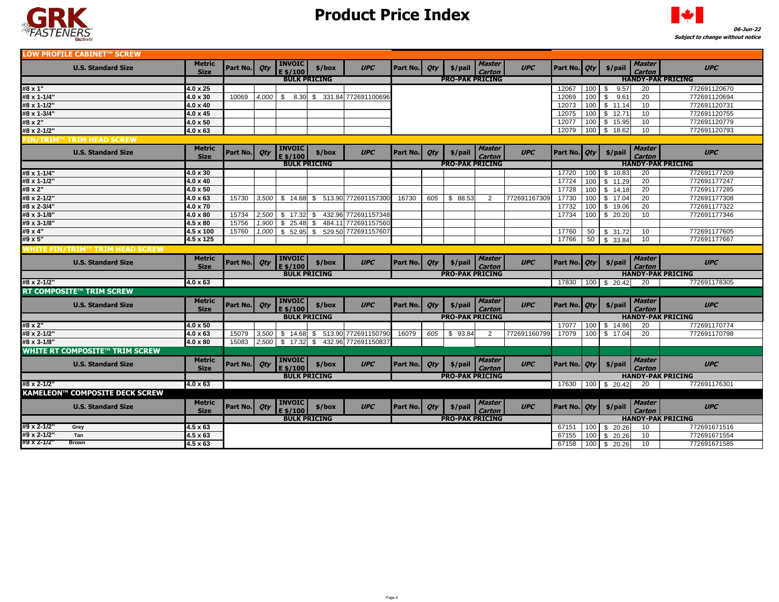



| LOW PROFILE CABINET™ SCREW       |                                       |                                    |                     |                     |                             |                     |                             |                        |                        |                        |                         |              |                          |            |                                                  |                         |                          |
|----------------------------------|---------------------------------------|------------------------------------|---------------------|---------------------|-----------------------------|---------------------|-----------------------------|------------------------|------------------------|------------------------|-------------------------|--------------|--------------------------|------------|--------------------------------------------------|-------------------------|--------------------------|
|                                  | <b>U.S. Standard Size</b>             | Metric<br><b>Size</b>              | Part No.            | Qty                 | <b>INVOIC</b><br>E \$/100   | \$/box              | <b>UPC</b>                  | Part No.               | Qty                    | \$/pail                | Master<br>Carton        | <b>UPC</b>   | Part No.   Qty           |            | \$/pail                                          | <b>Master</b><br>Carton | <b>UPC</b>               |
|                                  |                                       |                                    | <b>BULK PRICING</b> |                     |                             |                     |                             | <b>PRO-PAK PRICING</b> |                        |                        |                         |              | <b>HANDY-PAK PRICING</b> |            |                                                  |                         |                          |
| #8 x 1"                          |                                       | $4.0 \times 25$                    |                     |                     |                             |                     |                             |                        |                        |                        |                         |              | 12067                    | 100        | \$<br>9.57                                       | 20                      | 772691120670             |
| #8 x 1-1/4"                      |                                       | $4.0 \times 30$                    | 10069               | 4.000               | \$                          |                     | 8.30 \$ 331.84 772691100696 |                        |                        |                        |                         |              | 12069                    | 100        | \$<br>9.61                                       | 20                      | 772691120694             |
| #8 x 1-1/2"                      |                                       | $4.0 \times 40$                    |                     |                     |                             |                     |                             |                        |                        |                        |                         |              | 12073                    | 100        | \$11.14                                          | 10                      | 772691120731             |
| #8 x 1-3/4"                      |                                       | $4.0 \times 45$                    |                     |                     |                             |                     |                             |                        |                        |                        |                         |              | 12075                    | 100        | \$12.71                                          | 10                      | 772691120755             |
| #8 x 2"                          |                                       | $4.0 \times 50$                    |                     |                     |                             |                     |                             |                        |                        |                        |                         |              | 12077                    | 100        | \$15.95                                          | 10 <sup>1</sup>         | 772691120779             |
| #8 x 2-1/2"                      |                                       | $4.0 \times 63$                    |                     |                     |                             |                     |                             |                        |                        |                        |                         |              | 12079                    | 100        | \$<br>18.62                                      | 10                      | 772691120793             |
| <b>FIN/TRIM™ TRIM HEAD SCREW</b> |                                       |                                    |                     |                     |                             |                     |                             |                        |                        |                        |                         |              |                          |            |                                                  |                         |                          |
|                                  | <b>U.S. Standard Size</b>             | <b>Metric</b><br><b>Size</b>       | Part No.            | Qty                 | <b>INVOIC</b><br>E \$/100   | \$/box              | <b>UPC</b>                  | Part No.               | Qty                    | \$/pail                | <b>Master</b><br>Carton | <b>UPC</b>   | Part No.   Qty           |            | \$/pail                                          | Master<br><b>Carton</b> | <b>UPC</b>               |
|                                  |                                       |                                    |                     | <b>BULK PRICING</b> |                             |                     |                             |                        | <b>PRO-PAK PRICING</b> |                        |                         |              |                          |            |                                                  |                         | <b>HANDY-PAK PRICING</b> |
| #8 x 1-1/4"                      |                                       | $4.0 \times 30$                    |                     |                     |                             |                     |                             |                        |                        |                        |                         |              | 17720                    | 100        | \$10.83                                          | 20                      | 772691177209             |
| #8 x 1-1/2"                      |                                       | 4.0 x 40                           |                     |                     |                             |                     |                             |                        |                        |                        |                         |              | 17724                    | 100        | \$11.29                                          | 20                      | 772691177247             |
| #8 x 2"                          |                                       | $4.0 \times 50$                    |                     |                     |                             |                     |                             |                        |                        |                        |                         |              | 17728                    | 100        | \$14.18                                          | 20                      | 772691177285             |
| #8 x 2-1/2"                      |                                       | $4.0 \times 63$                    | 15730               | 3,500               | \$14.68                     | \$                  | 513.90 772691157300         | 16730                  | 605                    | \$88.53                | 2                       | 772691167309 | 17730                    | 100        | \$17.04                                          | 20                      | 772691177308             |
| #8 x 2-3/4"                      |                                       | 4.0 x 70                           |                     |                     |                             |                     |                             |                        |                        |                        |                         |              | 17732                    | 100        | \$19.06                                          | 20                      | 772691177322             |
| #8 x 3-1/8"                      |                                       | $4.0 \times 80$                    | 15734               | 2,500               | \$17.32                     | \$                  | 432.96 772691157348         |                        |                        |                        |                         |              | 17734                    | 100        | \$20.20                                          | 10                      | 772691177346             |
| #9 x 3-1/8"                      |                                       | $4.5 \times 80$                    | 15756               | 1,900               | 25.48<br>\$                 | -\$                 | 484.11 772691157560         |                        |                        |                        |                         |              |                          |            |                                                  |                         |                          |
| #9 x 4"                          |                                       | $4.5 \times 100$                   | 15760               | 1,000               | \$52.95                     | \$                  | 529.50 772691157607         |                        |                        |                        |                         |              | 17760                    | 50         | \$31.72                                          | 10                      | 772691177605             |
| #9 x 5"                          |                                       | 4.5 x 125                          |                     |                     |                             |                     |                             |                        |                        |                        |                         |              | 17766                    | 50         | \$ 33.84                                         | 10                      | 772691177667             |
| WHITE FIN/TRIM™ TRIM HEAD SCREW  |                                       |                                    |                     |                     |                             |                     |                             |                        |                        |                        |                         |              |                          |            |                                                  |                         |                          |
|                                  |                                       |                                    |                     |                     | <b>INVOIC</b>               |                     |                             |                        |                        |                        | <b>Master</b>           |              |                          |            |                                                  | <b>Master</b>           |                          |
|                                  | <b>U.S. Standard Size</b>             | <b>Metric</b><br><b>Size</b>       | Part No.            | Oty                 | E \$/100                    | \$/box              | <b>UPC</b>                  | Part No.               | Qty                    | \$/pail                | Carton                  | <b>UPC</b>   | Part No.                 | Qty        | $$$ /pail                                        | Carton                  | <b>UPC</b>               |
|                                  |                                       |                                    |                     |                     | <b>BULK PRICING</b>         |                     |                             |                        |                        | <b>PRO-PAK PRICING</b> |                         |              |                          |            |                                                  |                         | <b>HANDY-PAK PRICING</b> |
| #8 x 2-1/2"                      |                                       | $4.0 \times 63$                    |                     |                     |                             |                     |                             |                        |                        |                        |                         |              |                          |            | 17830 100 \$ 20.42                               | -20                     | 772691178305             |
|                                  | <b>RT COMPOSITE™ TRIM SCREW</b>       |                                    |                     |                     |                             |                     |                             |                        |                        |                        |                         |              |                          |            |                                                  |                         |                          |
|                                  | <b>U.S. Standard Size</b>             | <b>Metric</b><br><b>Size</b>       | Part No.            | Qty                 | <b>INVOIC</b><br>E \$/100   | \$/box              | <b>UPC</b>                  | Part No.               | Qty                    | \$/pail                | <b>Master</b><br>Carton | <b>UPC</b>   | Part No.                 | <b>Qty</b> | \$/pail                                          | Master<br><b>Carton</b> | <b>UPC</b>               |
|                                  |                                       |                                    |                     |                     |                             | <b>BULK PRICING</b> |                             |                        |                        | <b>PRO-PAK PRICING</b> |                         |              |                          |            |                                                  |                         | <b>HANDY-PAK PRICING</b> |
| #8 x 2"                          |                                       | $4.0 \times 50$                    |                     |                     |                             |                     |                             |                        |                        |                        |                         |              | 17077                    | 100        | \$14.86                                          | 20                      | 772691170774             |
| #8 x 2-1/2"                      |                                       | 4.0 x 63                           | 15079               | 3,500               | $$14.68$ \$                 |                     | 513.90 772691150790         | 16079                  | 605                    | \$93.84                | 2                       | 772691160799 | 17079                    | 100        | \$17.04                                          | 20                      | 772691170798             |
| #8 x 3-1/8"                      |                                       | $4.0 \times 80$                    | 15083               | 2,500               | $$17.32$ \$                 |                     | 432.96 772691150837         |                        |                        |                        |                         |              |                          |            |                                                  |                         |                          |
|                                  | <b>WHITE RT COMPOSITE™ TRIM SCREW</b> |                                    |                     |                     |                             |                     |                             |                        |                        |                        |                         |              |                          |            |                                                  |                         |                          |
|                                  | <b>U.S. Standard Size</b>             | <b>Metric</b><br><b>Size</b>       | Part No.            | Qty                 | <b>INVOIC</b><br>$E$ \$/100 | \$/box              | <b>UPC</b>                  | Part No.               | <b>Qty</b>             | \$/pail                | <b>Master</b>           | UPC          | Part No.   Qty           |            | \$/pail                                          | <b>Master</b>           | <b>UPC</b>               |
|                                  |                                       |                                    |                     |                     |                             | <b>BULK PRICING</b> |                             |                        |                        |                        | <b>Carton</b>           |              |                          |            |                                                  | Carton                  | <b>HANDY-PAK PRICING</b> |
| #8 x 2-1/2"                      |                                       | $4.0 \times 63$                    |                     |                     |                             |                     |                             |                        |                        | <b>PRO-PAK PRICING</b> |                         |              |                          |            |                                                  | 20                      | 772691176301             |
|                                  | <b>KAMELEON™ COMPOSITE DECK SCREW</b> |                                    |                     |                     |                             |                     |                             |                        |                        |                        |                         |              |                          |            | $\overline{17630}$   $\overline{100}$   \$ 20.42 |                         |                          |
|                                  | <b>U.S. Standard Size</b>             | <b>Metric</b><br><b>Size</b>       | Part No.   Qty      |                     | <b>INVOIC</b><br>$E$ \$/100 | \$/box              | <b>UPC</b>                  | Part No.               | <b>Qty</b>             | \$/pail                | <b>Master</b><br>Carton | <b>UPC</b>   | Part No.   Qty           |            | \$/pail                                          | <b>Master</b><br>Carton | <b>UPC</b>               |
|                                  |                                       |                                    |                     |                     |                             | <b>BULK PRICING</b> |                             |                        |                        | <b>PRO-PAK PRICING</b> |                         |              |                          |            |                                                  |                         | <b>HANDY-PAK PRICING</b> |
| #9 x 2-1/2"                      | Grey                                  | $4.5 \times 63$                    |                     |                     |                             |                     |                             |                        |                        |                        |                         |              | 67151                    | 100        | \$20.26                                          | 10                      | 772691671516             |
| #9 x 2-1/2"<br>#9 x 2-1/2"       | Tan<br><b>Brown</b>                   | $4.5 \times 63$<br>$4.5 \times 63$ |                     |                     |                             |                     |                             |                        |                        |                        |                         |              | 67155                    | 100        | 20.26<br>-S                                      | 10                      | 772691671554             |